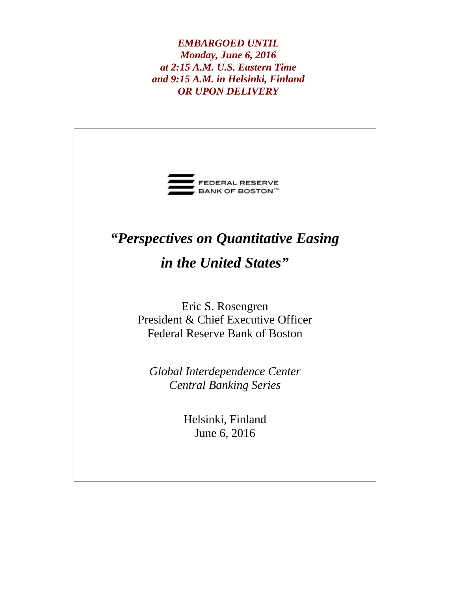*EMBARGOED UNTIL Monday, June 6, 2016 at 2:15 A.M. U.S. Eastern Time and 9:15 A.M. in Helsinki, Finland OR UPON DELIVERY* 

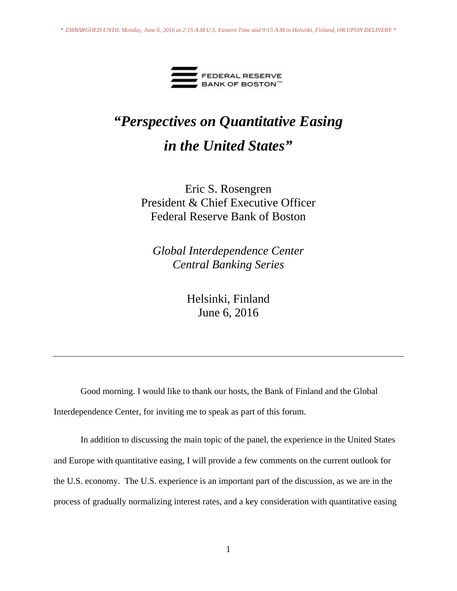

# *"Perspectives on Quantitative Easing in the United States"*

Eric S. Rosengren President & Chief Executive Officer Federal Reserve Bank of Boston

*Global Interdependence Center Central Banking Series* 

> Helsinki, Finland June 6, 2016

Good morning. I would like to thank our hosts, the Bank of Finland and the Global Interdependence Center, for inviting me to speak as part of this forum.

In addition to discussing the main topic of the panel, the experience in the United States and Europe with quantitative easing, I will provide a few comments on the current outlook for the U.S. economy. The U.S. experience is an important part of the discussion, as we are in the process of gradually normalizing interest rates, and a key consideration with quantitative easing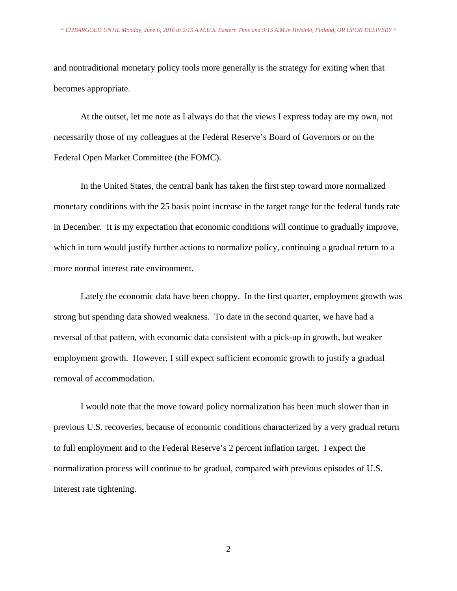and nontraditional monetary policy tools more generally is the strategy for exiting when that becomes appropriate.

At the outset, let me note as I always do that the views I express today are my own, not necessarily those of my colleagues at the Federal Reserve's Board of Governors or on the Federal Open Market Committee (the FOMC).

In the United States, the central bank has taken the first step toward more normalized monetary conditions with the 25 basis point increase in the target range for the federal funds rate in December. It is my expectation that economic conditions will continue to gradually improve, which in turn would justify further actions to normalize policy, continuing a gradual return to a more normal interest rate environment.

Lately the economic data have been choppy. In the first quarter, employment growth was strong but spending data showed weakness. To date in the second quarter, we have had a reversal of that pattern, with economic data consistent with a pick-up in growth, but weaker employment growth. However, I still expect sufficient economic growth to justify a gradual removal of accommodation.

I would note that the move toward policy normalization has been much slower than in previous U.S. recoveries, because of economic conditions characterized by a very gradual return to full employment and to the Federal Reserve's 2 percent inflation target. I expect the normalization process will continue to be gradual, compared with previous episodes of U.S. interest rate tightening.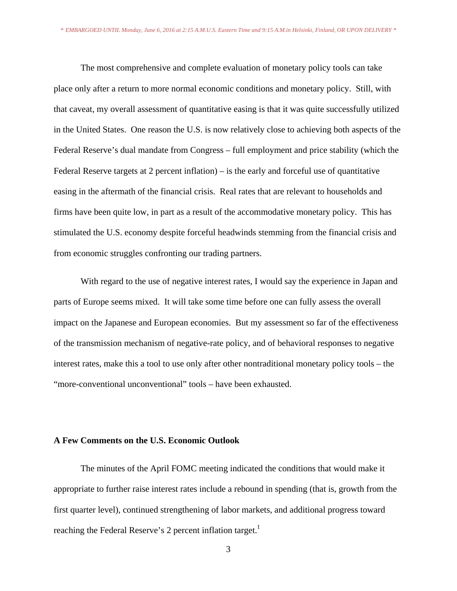The most comprehensive and complete evaluation of monetary policy tools can take place only after a return to more normal economic conditions and monetary policy. Still, with that caveat, my overall assessment of quantitative easing is that it was quite successfully utilized in the United States. One reason the U.S. is now relatively close to achieving both aspects of the Federal Reserve's dual mandate from Congress – full employment and price stability (which the Federal Reserve targets at 2 percent inflation) – is the early and forceful use of quantitative easing in the aftermath of the financial crisis. Real rates that are relevant to households and firms have been quite low, in part as a result of the accommodative monetary policy. This has stimulated the U.S. economy despite forceful headwinds stemming from the financial crisis and from economic struggles confronting our trading partners.

 With regard to the use of negative interest rates, I would say the experience in Japan and parts of Europe seems mixed. It will take some time before one can fully assess the overall impact on the Japanese and European economies. But my assessment so far of the effectiveness of the transmission mechanism of negative-rate policy, and of behavioral responses to negative interest rates, make this a tool to use only after other nontraditional monetary policy tools – the "more-conventional unconventional" tools – have been exhausted.

#### **A Few Comments on the U.S. Economic Outlook**

 The minutes of the April FOMC meeting indicated the conditions that would make it appropriate to further raise interest rates include a rebound in spending (that is, growth from the first quarter level), continued strengthening of labor markets, and additional progress toward reaching the Federal Reserve's 2 percent inflation target.<sup>1</sup>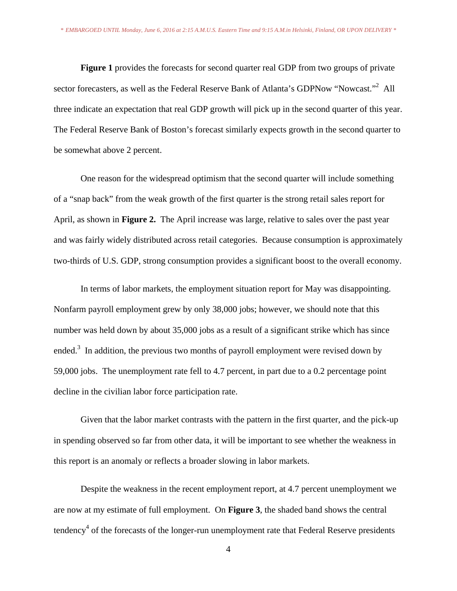**Figure 1** provides the forecasts for second quarter real GDP from two groups of private sector forecasters, as well as the Federal Reserve Bank of Atlanta's GDPNow "Nowcast."<sup>2</sup> All three indicate an expectation that real GDP growth will pick up in the second quarter of this year. The Federal Reserve Bank of Boston's forecast similarly expects growth in the second quarter to be somewhat above 2 percent.

 One reason for the widespread optimism that the second quarter will include something of a "snap back" from the weak growth of the first quarter is the strong retail sales report for April, as shown in **Figure 2.** The April increase was large, relative to sales over the past year and was fairly widely distributed across retail categories. Because consumption is approximately two-thirds of U.S. GDP, strong consumption provides a significant boost to the overall economy.

 In terms of labor markets, the employment situation report for May was disappointing. Nonfarm payroll employment grew by only 38,000 jobs; however, we should note that this number was held down by about 35,000 jobs as a result of a significant strike which has since ended.<sup>3</sup> In addition, the previous two months of payroll employment were revised down by 59,000 jobs. The unemployment rate fell to 4.7 percent, in part due to a 0.2 percentage point decline in the civilian labor force participation rate.

Given that the labor market contrasts with the pattern in the first quarter, and the pick-up in spending observed so far from other data, it will be important to see whether the weakness in this report is an anomaly or reflects a broader slowing in labor markets.

Despite the weakness in the recent employment report, at 4.7 percent unemployment we are now at my estimate of full employment. On **Figure 3**, the shaded band shows the central tendency<sup>4</sup> of the forecasts of the longer-run unemployment rate that Federal Reserve presidents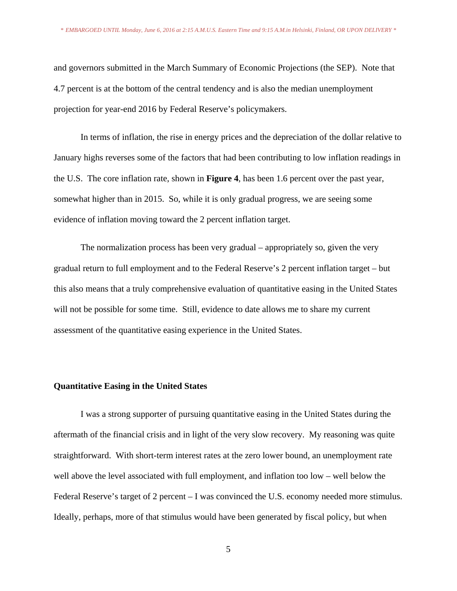and governors submitted in the March Summary of Economic Projections (the SEP). Note that 4.7 percent is at the bottom of the central tendency and is also the median unemployment projection for year-end 2016 by Federal Reserve's policymakers.

In terms of inflation, the rise in energy prices and the depreciation of the dollar relative to January highs reverses some of the factors that had been contributing to low inflation readings in the U.S. The core inflation rate, shown in **Figure 4**, has been 1.6 percent over the past year, somewhat higher than in 2015. So, while it is only gradual progress, we are seeing some evidence of inflation moving toward the 2 percent inflation target.

 The normalization process has been very gradual – appropriately so, given the very gradual return to full employment and to the Federal Reserve's 2 percent inflation target – but this also means that a truly comprehensive evaluation of quantitative easing in the United States will not be possible for some time. Still, evidence to date allows me to share my current assessment of the quantitative easing experience in the United States.

# **Quantitative Easing in the United States**

 I was a strong supporter of pursuing quantitative easing in the United States during the aftermath of the financial crisis and in light of the very slow recovery. My reasoning was quite straightforward. With short-term interest rates at the zero lower bound, an unemployment rate well above the level associated with full employment, and inflation too low – well below the Federal Reserve's target of 2 percent – I was convinced the U.S. economy needed more stimulus. Ideally, perhaps, more of that stimulus would have been generated by fiscal policy, but when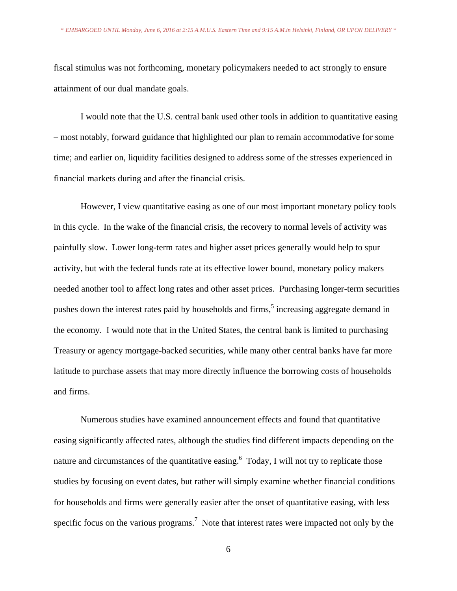fiscal stimulus was not forthcoming, monetary policymakers needed to act strongly to ensure attainment of our dual mandate goals.

 I would note that the U.S. central bank used other tools in addition to quantitative easing – most notably, forward guidance that highlighted our plan to remain accommodative for some time; and earlier on, liquidity facilities designed to address some of the stresses experienced in financial markets during and after the financial crisis.

However, I view quantitative easing as one of our most important monetary policy tools in this cycle. In the wake of the financial crisis, the recovery to normal levels of activity was painfully slow. Lower long-term rates and higher asset prices generally would help to spur activity, but with the federal funds rate at its effective lower bound, monetary policy makers needed another tool to affect long rates and other asset prices. Purchasing longer-term securities pushes down the interest rates paid by households and firms,<sup>5</sup> increasing aggregate demand in the economy. I would note that in the United States, the central bank is limited to purchasing Treasury or agency mortgage-backed securities, while many other central banks have far more latitude to purchase assets that may more directly influence the borrowing costs of households and firms.

Numerous studies have examined announcement effects and found that quantitative easing significantly affected rates, although the studies find different impacts depending on the nature and circumstances of the quantitative easing.<sup>6</sup> Today, I will not try to replicate those studies by focusing on event dates, but rather will simply examine whether financial conditions for households and firms were generally easier after the onset of quantitative easing, with less specific focus on the various programs.<sup>7</sup> Note that interest rates were impacted not only by the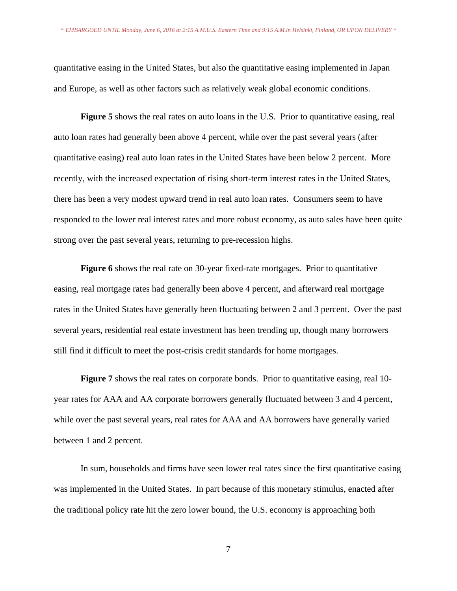quantitative easing in the United States, but also the quantitative easing implemented in Japan and Europe, as well as other factors such as relatively weak global economic conditions.

**Figure 5** shows the real rates on auto loans in the U.S. Prior to quantitative easing, real auto loan rates had generally been above 4 percent, while over the past several years (after quantitative easing) real auto loan rates in the United States have been below 2 percent. More recently, with the increased expectation of rising short-term interest rates in the United States, there has been a very modest upward trend in real auto loan rates. Consumers seem to have responded to the lower real interest rates and more robust economy, as auto sales have been quite strong over the past several years, returning to pre-recession highs.

**Figure 6** shows the real rate on 30-year fixed-rate mortgages. Prior to quantitative easing, real mortgage rates had generally been above 4 percent, and afterward real mortgage rates in the United States have generally been fluctuating between 2 and 3 percent. Over the past several years, residential real estate investment has been trending up, though many borrowers still find it difficult to meet the post-crisis credit standards for home mortgages.

**Figure 7** shows the real rates on corporate bonds. Prior to quantitative easing, real 10 year rates for AAA and AA corporate borrowers generally fluctuated between 3 and 4 percent, while over the past several years, real rates for AAA and AA borrowers have generally varied between 1 and 2 percent.

 In sum, households and firms have seen lower real rates since the first quantitative easing was implemented in the United States. In part because of this monetary stimulus, enacted after the traditional policy rate hit the zero lower bound, the U.S. economy is approaching both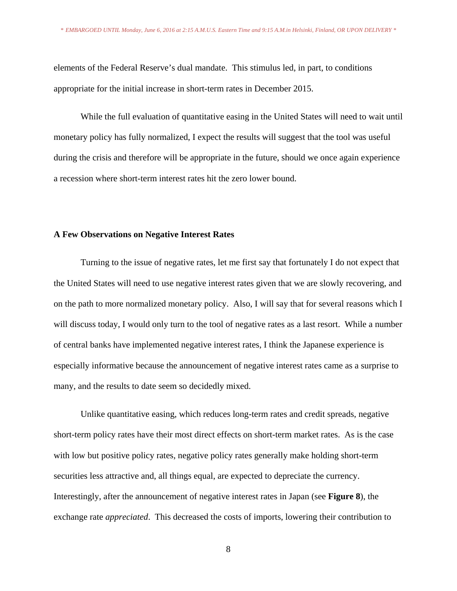elements of the Federal Reserve's dual mandate. This stimulus led, in part, to conditions appropriate for the initial increase in short-term rates in December 2015.

While the full evaluation of quantitative easing in the United States will need to wait until monetary policy has fully normalized, I expect the results will suggest that the tool was useful during the crisis and therefore will be appropriate in the future, should we once again experience a recession where short-term interest rates hit the zero lower bound.

## **A Few Observations on Negative Interest Rates**

 Turning to the issue of negative rates, let me first say that fortunately I do not expect that the United States will need to use negative interest rates given that we are slowly recovering, and on the path to more normalized monetary policy. Also, I will say that for several reasons which I will discuss today, I would only turn to the tool of negative rates as a last resort. While a number of central banks have implemented negative interest rates, I think the Japanese experience is especially informative because the announcement of negative interest rates came as a surprise to many, and the results to date seem so decidedly mixed.

 Unlike quantitative easing, which reduces long-term rates and credit spreads, negative short-term policy rates have their most direct effects on short-term market rates. As is the case with low but positive policy rates, negative policy rates generally make holding short-term securities less attractive and, all things equal, are expected to depreciate the currency. Interestingly, after the announcement of negative interest rates in Japan (see **Figure 8**), the exchange rate *appreciated*. This decreased the costs of imports, lowering their contribution to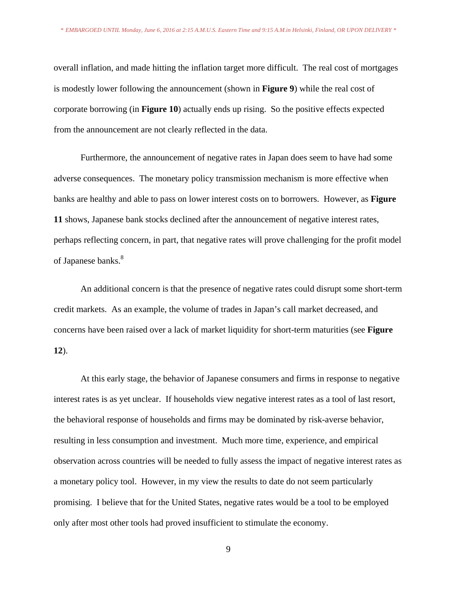overall inflation, and made hitting the inflation target more difficult. The real cost of mortgages is modestly lower following the announcement (shown in **Figure 9**) while the real cost of corporate borrowing (in **Figure 10**) actually ends up rising. So the positive effects expected from the announcement are not clearly reflected in the data.

 Furthermore, the announcement of negative rates in Japan does seem to have had some adverse consequences. The monetary policy transmission mechanism is more effective when banks are healthy and able to pass on lower interest costs on to borrowers. However, as **Figure 11** shows, Japanese bank stocks declined after the announcement of negative interest rates, perhaps reflecting concern, in part, that negative rates will prove challenging for the profit model of Japanese banks.<sup>8</sup>

 An additional concern is that the presence of negative rates could disrupt some short-term credit markets. As an example, the volume of trades in Japan's call market decreased, and concerns have been raised over a lack of market liquidity for short-term maturities (see **Figure 12**).

 At this early stage, the behavior of Japanese consumers and firms in response to negative interest rates is as yet unclear. If households view negative interest rates as a tool of last resort, the behavioral response of households and firms may be dominated by risk-averse behavior, resulting in less consumption and investment. Much more time, experience, and empirical observation across countries will be needed to fully assess the impact of negative interest rates as a monetary policy tool. However, in my view the results to date do not seem particularly promising. I believe that for the United States, negative rates would be a tool to be employed only after most other tools had proved insufficient to stimulate the economy.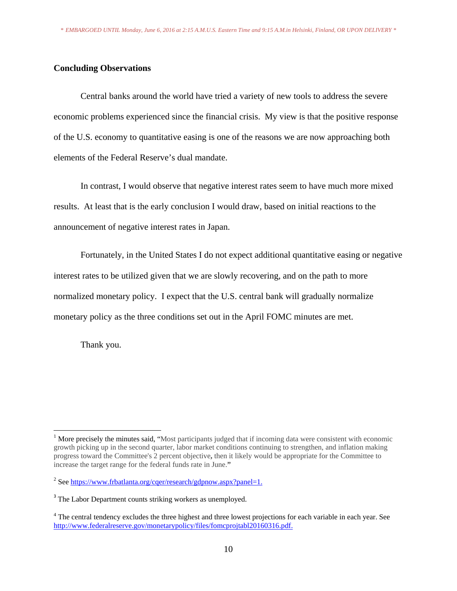## **Concluding Observations**

 Central banks around the world have tried a variety of new tools to address the severe economic problems experienced since the financial crisis. My view is that the positive response of the U.S. economy to quantitative easing is one of the reasons we are now approaching both elements of the Federal Reserve's dual mandate.

In contrast, I would observe that negative interest rates seem to have much more mixed results. At least that is the early conclusion I would draw, based on initial reactions to the announcement of negative interest rates in Japan.

 Fortunately, in the United States I do not expect additional quantitative easing or negative interest rates to be utilized given that we are slowly recovering, and on the path to more normalized monetary policy. I expect that the U.S. central bank will gradually normalize monetary policy as the three conditions set out in the April FOMC minutes are met.

Thank you.

<sup>&</sup>lt;sup>1</sup> More precisely the minutes said, "Most participants judged that if incoming data were consistent with economic growth picking up in the second quarter, labor market conditions continuing to strengthen, and inflation making progress toward the Committee's 2 percent objective**,** then it likely would be appropriate for the Committee to increase the target range for the federal funds rate in June.**"** 

<sup>&</sup>lt;sup>2</sup> See https://www.frbatlanta.org/cqer/research/gdpnow.aspx?panel=1.

<sup>&</sup>lt;sup>3</sup> The Labor Department counts striking workers as unemployed.

<sup>&</sup>lt;sup>4</sup> The central tendency excludes the three highest and three lowest projections for each variable in each year. See http://www.federalreserve.gov/monetarypolicy/files/fomcprojtabl20160316.pdf.